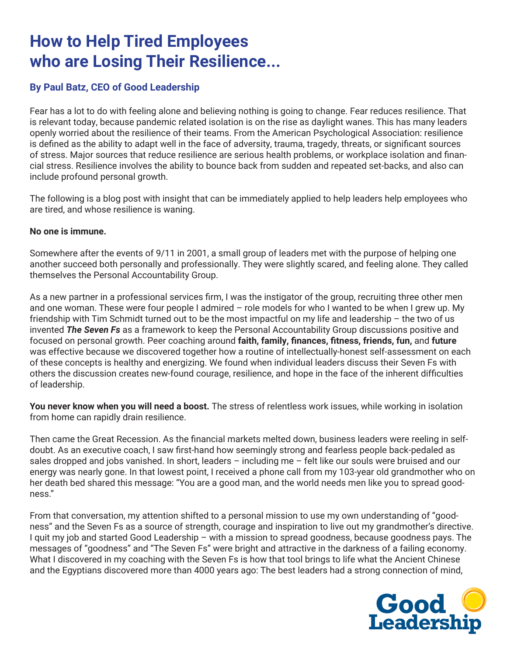# **How to Help Tired Employees who are Losing Their Resilience...**

# **By Paul Batz, CEO of Good Leadership**

Fear has a lot to do with feeling alone and believing nothing is going to change. Fear reduces resilience. That is relevant today, because pandemic related isolation is on the rise as daylight wanes. This has many leaders openly worried about the resilience of their teams. From the American Psychological Association: resilience is defined as the ability to adapt well in the face of adversity, trauma, tragedy, threats, or significant sources of stress. Major sources that reduce resilience are serious health problems, or workplace isolation and financial stress. Resilience involves the ability to bounce back from sudden and repeated set-backs, and also can include profound personal growth.

The following is a blog post with insight that can be immediately applied to help leaders help employees who are tired, and whose resilience is waning.

# **No one is immune.**

Somewhere after the events of 9/11 in 2001, a small group of leaders met with the purpose of helping one another succeed both personally and professionally. They were slightly scared, and feeling alone. They called themselves the Personal Accountability Group.

As a new partner in a professional services firm, I was the instigator of the group, recruiting three other men and one woman. These were four people I admired – role models for who I wanted to be when I grew up. My friendship with Tim Schmidt turned out to be the most impactful on my life and leadership – the two of us invented *The Seven Fs* as a framework to keep the Personal Accountability Group discussions positive and focused on personal growth. Peer coaching around **faith, family, finances, fitness, friends, fun,** and **future** was effective because we discovered together how a routine of intellectually-honest self-assessment on each of these concepts is healthy and energizing. We found when individual leaders discuss their Seven Fs with others the discussion creates new-found courage, resilience, and hope in the face of the inherent difficulties of leadership.

**You never know when you will need a boost.** The stress of relentless work issues, while working in isolation from home can rapidly drain resilience.

Then came the Great Recession. As the financial markets melted down, business leaders were reeling in selfdoubt. As an executive coach, I saw first-hand how seemingly strong and fearless people back-pedaled as sales dropped and jobs vanished. In short, leaders – including me – felt like our souls were bruised and our energy was nearly gone. In that lowest point, I received a phone call from my 103-year old grandmother who on her death bed shared this message: "You are a good man, and the world needs men like you to spread goodness."

From that conversation, my attention shifted to a personal mission to use my own understanding of "goodness" and the Seven Fs as a source of strength, courage and inspiration to live out my grandmother's directive. I quit my job and started Good Leadership - with a mission to spread goodness, because goodness pays. The messages of "goodness" and "The Seven Fs" were bright and attractive in the darkness of a failing economy. What I discovered in my coaching with the Seven Fs is how that tool brings to life what the Ancient Chinese and the Egyptians discovered more than 4000 years ago: The best leaders had a strong connection of mind,

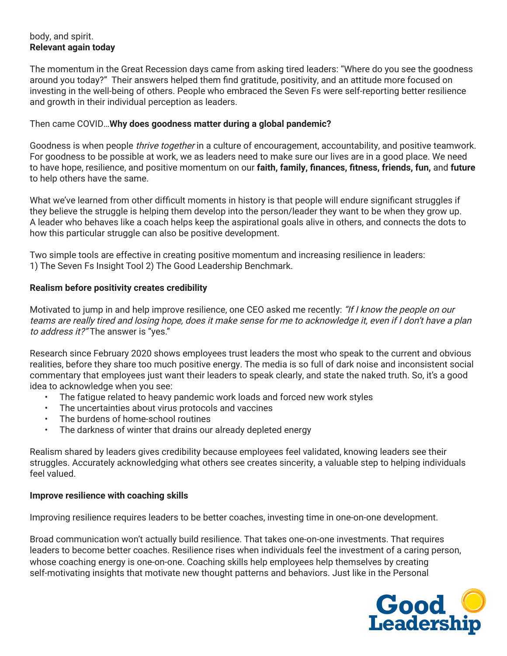# body, and spirit. **Relevant again today**

The momentum in the Great Recession days came from asking tired leaders: "Where do you see the goodness around you today?" Their answers helped them find gratitude, positivity, and an attitude more focused on investing in the well-being of others. People who embraced the Seven Fs were self-reporting better resilience and growth in their individual perception as leaders.

#### Then came COVID…**Why does goodness matter during a global pandemic?**

Goodness is when people *thrive together* in a culture of encouragement, accountability, and positive teamwork. For goodness to be possible at work, we as leaders need to make sure our lives are in a good place. We need to have hope, resilience, and positive momentum on our **faith, family, finances, fitness, friends, fun,** and **future** to help others have the same.

What we've learned from other difficult moments in history is that people will endure significant struggles if they believe the struggle is helping them develop into the person/leader they want to be when they grow up. A leader who behaves like a coach helps keep the aspirational goals alive in others, and connects the dots to how this particular struggle can also be positive development.

Two simple tools are effective in creating positive momentum and increasing resilience in leaders: 1) The Seven Fs Insight Tool 2) The Good Leadership Benchmark.

# **Realism before positivity creates credibility**

Motivated to jump in and help improve resilience, one CEO asked me recently: "If I know the people on our teams are really tired and losing hope, does it make sense for me to acknowledge it, even if I don't have a plan to address it?" The answer is "yes."

Research since February 2020 shows employees trust leaders the most who speak to the current and obvious realities, before they share too much positive energy. The media is so full of dark noise and inconsistent social commentary that employees just want their leaders to speak clearly, and state the naked truth. So, it's a good idea to acknowledge when you see:

- The fatigue related to heavy pandemic work loads and forced new work styles
- The uncertainties about virus protocols and vaccines
- The burdens of home-school routines
- The darkness of winter that drains our already depleted energy

Realism shared by leaders gives credibility because employees feel validated, knowing leaders see their struggles. Accurately acknowledging what others see creates sincerity, a valuable step to helping individuals feel valued.

#### **Improve resilience with coaching skills**

Improving resilience requires leaders to be better coaches, investing time in one-on-one development.

Broad communication won't actually build resilience. That takes one-on-one investments. That requires leaders to become better coaches. Resilience rises when individuals feel the investment of a caring person, whose coaching energy is one-on-one. Coaching skills help employees help themselves by creating self-motivating insights that motivate new thought patterns and behaviors. Just like in the Personal

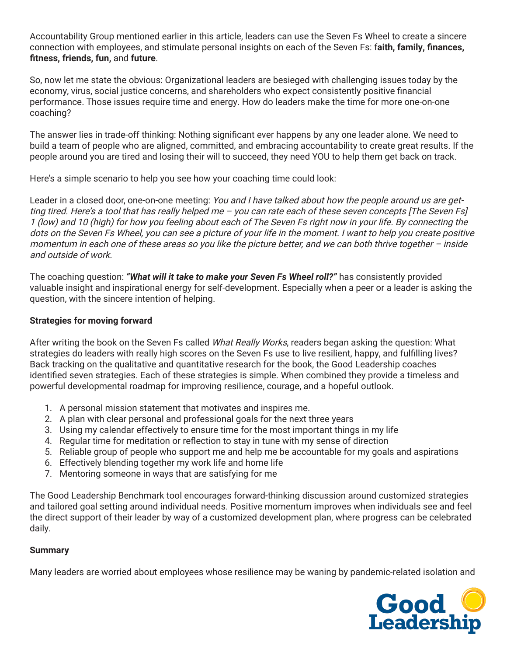Accountability Group mentioned earlier in this article, leaders can use the Seven Fs Wheel to create a sincere connection with employees, and stimulate personal insights on each of the Seven Fs: f**aith, family, finances, fitness, friends, fun,** and **future**.

So, now let me state the obvious: Organizational leaders are besieged with challenging issues today by the economy, virus, social justice concerns, and shareholders who expect consistently positive financial performance. Those issues require time and energy. How do leaders make the time for more one-on-one coaching?

The answer lies in trade-off thinking: Nothing significant ever happens by any one leader alone. We need to build a team of people who are aligned, committed, and embracing accountability to create great results. If the people around you are tired and losing their will to succeed, they need YOU to help them get back on track.

Here's a simple scenario to help you see how your coaching time could look:

Leader in a closed door, one-on-one meeting: You and I have talked about how the people around us are getting tired. Here's a tool that has really helped me – you can rate each of these seven concepts [The Seven Fs] 1 (low) and 10 (high) for how you feeling about each of The Seven Fs right now in your life. By connecting the dots on the Seven Fs Wheel, you can see a picture of your life in the moment. I want to help you create positive momentum in each one of these areas so you like the picture better, and we can both thrive together – inside and outside of work.

The coaching question: *"What will it take to make your Seven Fs Wheel roll?"* has consistently provided valuable insight and inspirational energy for self-development. Especially when a peer or a leader is asking the question, with the sincere intention of helping.

# **Strategies for moving forward**

After writing the book on the Seven Fs called What Really Works, readers began asking the question: What strategies do leaders with really high scores on the Seven Fs use to live resilient, happy, and fulfilling lives? Back tracking on the qualitative and quantitative research for the book, the Good Leadership coaches identified seven strategies. Each of these strategies is simple. When combined they provide a timeless and powerful developmental roadmap for improving resilience, courage, and a hopeful outlook.

- 1. A personal mission statement that motivates and inspires me.
- 2. A plan with clear personal and professional goals for the next three years
- 3. Using my calendar effectively to ensure time for the most important things in my life
- 4. Regular time for meditation or reflection to stay in tune with my sense of direction
- 5. Reliable group of people who support me and help me be accountable for my goals and aspirations
- 6. Effectively blending together my work life and home life
- 7. Mentoring someone in ways that are satisfying for me

The Good Leadership Benchmark tool encourages forward-thinking discussion around customized strategies and tailored goal setting around individual needs. Positive momentum improves when individuals see and feel the direct support of their leader by way of a customized development plan, where progress can be celebrated daily.

#### **Summary**

Many leaders are worried about employees whose resilience may be waning by pandemic-related isolation and